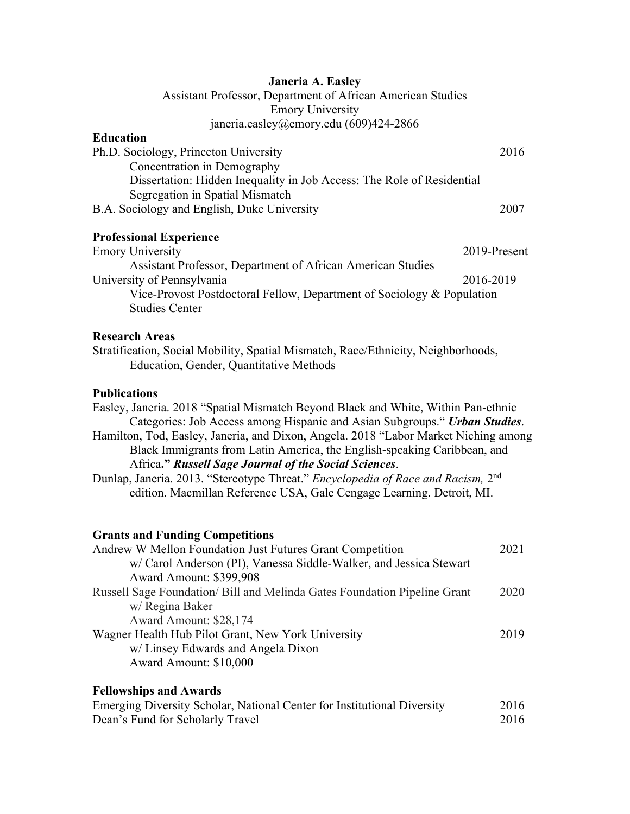### **Janeria A. Easley**

Assistant Professor, Department of African American Studies Emory University janeria.easley@emory.edu (609)424-2866

#### **Education**

| Ph.D. Sociology, Princeton University                                  | 2016 |
|------------------------------------------------------------------------|------|
| Concentration in Demography                                            |      |
| Dissertation: Hidden Inequality in Job Access: The Role of Residential |      |
| Segregation in Spatial Mismatch                                        |      |
| B.A. Sociology and English, Duke University                            | 2007 |

# **Professional Experience**

| <b>Emory University</b>                                                | 2019-Present |
|------------------------------------------------------------------------|--------------|
| Assistant Professor, Department of African American Studies            |              |
| University of Pennsylvania                                             | 2016-2019    |
| Vice-Provost Postdoctoral Fellow, Department of Sociology & Population |              |
| <b>Studies Center</b>                                                  |              |

### **Research Areas**

Stratification, Social Mobility, Spatial Mismatch, Race/Ethnicity, Neighborhoods, Education, Gender, Quantitative Methods

### **Publications**

Easley, Janeria. 2018 "Spatial Mismatch Beyond Black and White, Within Pan-ethnic Categories: Job Access among Hispanic and Asian Subgroups." *Urban Studies*. Hamilton, Tod, Easley, Janeria, and Dixon, Angela. 2018 "Labor Market Niching among Black Immigrants from Latin America, the English-speaking Caribbean, and Africa**."** *Russell Sage Journal of the Social Sciences*. Dunlap, Janeria. 2013. "Stereotype Threat." *Encyclopedia of Race and Racism,* 2nd

edition. Macmillan Reference USA, Gale Cengage Learning. Detroit, MI.

#### **Grants and Funding Competitions**

| Andrew W Mellon Foundation Just Futures Grant Competition                 | 2021 |
|---------------------------------------------------------------------------|------|
| w/ Carol Anderson (PI), Vanessa Siddle-Walker, and Jessica Stewart        |      |
| Award Amount: \$399,908                                                   |      |
| Russell Sage Foundation/ Bill and Melinda Gates Foundation Pipeline Grant | 2020 |
| w/ Regina Baker                                                           |      |
| Award Amount: \$28,174                                                    |      |
| Wagner Health Hub Pilot Grant, New York University                        | 2019 |
| w/ Linsey Edwards and Angela Dixon                                        |      |
| Award Amount: \$10,000                                                    |      |
|                                                                           |      |

## **Fellowships and Awards**

| Emerging Diversity Scholar, National Center for Institutional Diversity | 2016 |
|-------------------------------------------------------------------------|------|
| Dean's Fund for Scholarly Travel                                        | 2016 |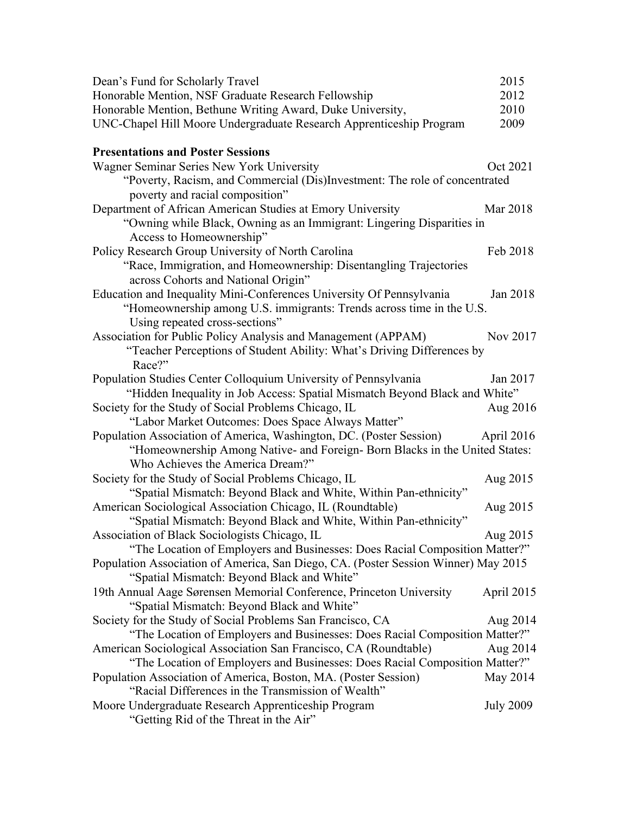| Dean's Fund for Scholarly Travel                                                                                                 | 2015             |
|----------------------------------------------------------------------------------------------------------------------------------|------------------|
| Honorable Mention, NSF Graduate Research Fellowship                                                                              | 2012             |
| Honorable Mention, Bethune Writing Award, Duke University,                                                                       | 2010             |
| UNC-Chapel Hill Moore Undergraduate Research Apprenticeship Program                                                              | 2009             |
| <b>Presentations and Poster Sessions</b>                                                                                         |                  |
| Wagner Seminar Series New York University                                                                                        | Oct 2021         |
| "Poverty, Racism, and Commercial (Dis)Investment: The role of concentrated<br>poverty and racial composition"                    |                  |
| Department of African American Studies at Emory University                                                                       | Mar 2018         |
| "Owning while Black, Owning as an Immigrant: Lingering Disparities in<br>Access to Homeownership"                                |                  |
| Policy Research Group University of North Carolina                                                                               | Feb 2018         |
| "Race, Immigration, and Homeownership: Disentangling Trajectories<br>across Cohorts and National Origin"                         |                  |
| Education and Inequality Mini-Conferences University Of Pennsylvania                                                             | Jan 2018         |
| "Homeownership among U.S. immigrants: Trends across time in the U.S.<br>Using repeated cross-sections"                           |                  |
| Association for Public Policy Analysis and Management (APPAM)                                                                    | Nov 2017         |
| "Teacher Perceptions of Student Ability: What's Driving Differences by<br>Race?"                                                 |                  |
| Population Studies Center Colloquium University of Pennsylvania                                                                  | Jan 2017         |
| "Hidden Inequality in Job Access: Spatial Mismatch Beyond Black and White"                                                       |                  |
| Society for the Study of Social Problems Chicago, IL                                                                             | Aug 2016         |
| "Labor Market Outcomes: Does Space Always Matter"                                                                                |                  |
| Population Association of America, Washington, DC. (Poster Session)                                                              | April 2016       |
| "Homeownership Among Native- and Foreign- Born Blacks in the United States:                                                      |                  |
| Who Achieves the America Dream?"                                                                                                 |                  |
| Society for the Study of Social Problems Chicago, IL                                                                             | Aug 2015         |
| "Spatial Mismatch: Beyond Black and White, Within Pan-ethnicity"                                                                 |                  |
| American Sociological Association Chicago, IL (Roundtable)                                                                       | Aug 2015         |
| "Spatial Mismatch: Beyond Black and White, Within Pan-ethnicity"                                                                 |                  |
| Association of Black Sociologists Chicago, IL                                                                                    | Aug 2015         |
| "The Location of Employers and Businesses: Does Racial Composition Matter?"                                                      |                  |
| Population Association of America, San Diego, CA. (Poster Session Winner) May 2015<br>"Spatial Mismatch: Beyond Black and White" |                  |
| 19th Annual Aage Sørensen Memorial Conference, Princeton University<br>"Spatial Mismatch: Beyond Black and White"                | April 2015       |
| Society for the Study of Social Problems San Francisco, CA                                                                       | Aug 2014         |
| "The Location of Employers and Businesses: Does Racial Composition Matter?"                                                      |                  |
| American Sociological Association San Francisco, CA (Roundtable)                                                                 | Aug 2014         |
| "The Location of Employers and Businesses: Does Racial Composition Matter?"                                                      |                  |
| Population Association of America, Boston, MA. (Poster Session)                                                                  | May 2014         |
| "Racial Differences in the Transmission of Wealth"                                                                               |                  |
| Moore Undergraduate Research Apprenticeship Program<br>"Getting Rid of the Threat in the Air"                                    | <b>July 2009</b> |